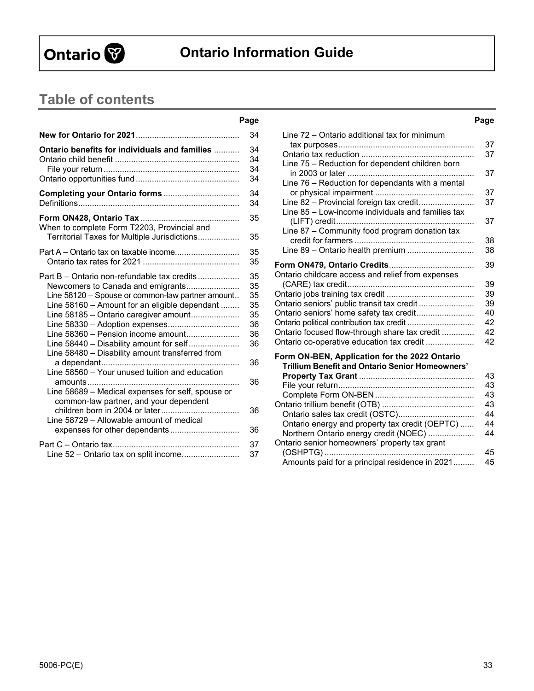

# **Ontario Information Guide**

# **Table of contents**

| Ontario benefits for individuals and families<br>When to complete Form T2203, Provincial and<br>Territorial Taxes for Multiple Jurisdictions<br>Part A – Ontario tax on taxable income<br>Part B – Ontario non-refundable tax credits<br>Newcomers to Canada and emigrants<br>Line 58120 - Spouse or common-law partner amount<br>Line 58160 - Amount for an eligible dependant<br>Line 58185 - Ontario caregiver amount<br>Line 58330 - Adoption expenses<br>Line 58360 - Pension income amount<br>Line 58440 - Disability amount for self<br>Line 58480 - Disability amount transferred from<br>Line 58560 - Your unused tuition and education<br>Line 58689 - Medical expenses for self, spouse or<br>common-law partner, and your dependent<br>Line 58729 - Allowable amount of medical<br>expenses for other dependants<br>Line 52 - Ontario tax on split income |  |
|-----------------------------------------------------------------------------------------------------------------------------------------------------------------------------------------------------------------------------------------------------------------------------------------------------------------------------------------------------------------------------------------------------------------------------------------------------------------------------------------------------------------------------------------------------------------------------------------------------------------------------------------------------------------------------------------------------------------------------------------------------------------------------------------------------------------------------------------------------------------------|--|
|                                                                                                                                                                                                                                                                                                                                                                                                                                                                                                                                                                                                                                                                                                                                                                                                                                                                       |  |
|                                                                                                                                                                                                                                                                                                                                                                                                                                                                                                                                                                                                                                                                                                                                                                                                                                                                       |  |
|                                                                                                                                                                                                                                                                                                                                                                                                                                                                                                                                                                                                                                                                                                                                                                                                                                                                       |  |
|                                                                                                                                                                                                                                                                                                                                                                                                                                                                                                                                                                                                                                                                                                                                                                                                                                                                       |  |
|                                                                                                                                                                                                                                                                                                                                                                                                                                                                                                                                                                                                                                                                                                                                                                                                                                                                       |  |
|                                                                                                                                                                                                                                                                                                                                                                                                                                                                                                                                                                                                                                                                                                                                                                                                                                                                       |  |
|                                                                                                                                                                                                                                                                                                                                                                                                                                                                                                                                                                                                                                                                                                                                                                                                                                                                       |  |

# **Page Page**  Line 72 – Ontario additional tax for minimum

|                                                                                                         | 37 |
|---------------------------------------------------------------------------------------------------------|----|
|                                                                                                         | 37 |
| Line 75 - Reduction for dependent children born                                                         |    |
|                                                                                                         | 37 |
| Line 76 - Reduction for dependants with a mental                                                        |    |
|                                                                                                         | 37 |
| Line 82 - Provincial foreign tax credit                                                                 | 37 |
| Line 85 - Low-income individuals and families tax                                                       | 37 |
| Line 87 - Community food program donation tax                                                           | 38 |
| Line 89 - Ontario health premium                                                                        | 38 |
|                                                                                                         |    |
|                                                                                                         | 39 |
| Ontario childcare access and relief from expenses                                                       | 39 |
|                                                                                                         | 39 |
| Ontario seniors' public transit tax credit                                                              | 39 |
| Ontario seniors' home safety tax credit                                                                 | 40 |
| Ontario political contribution tax credit                                                               | 42 |
| Ontario focused flow-through share tax credit                                                           | 42 |
| Ontario co-operative education tax credit                                                               | 42 |
| Form ON-BEN, Application for the 2022 Ontario<br><b>Trillium Benefit and Ontario Senior Homeowners'</b> | 43 |
|                                                                                                         | 43 |
|                                                                                                         | 43 |
|                                                                                                         | 43 |
| Ontario sales tax credit (OSTC)                                                                         | 44 |
| Ontario energy and property tax credit (OEPTC)                                                          | 44 |
| Northern Ontario energy credit (NOEC)                                                                   | 44 |
| Ontario senior homeowners' property tax grant                                                           |    |
| $(OSHPTG)$                                                                                              | 45 |
| Amounts paid for a principal residence in 2021                                                          | 45 |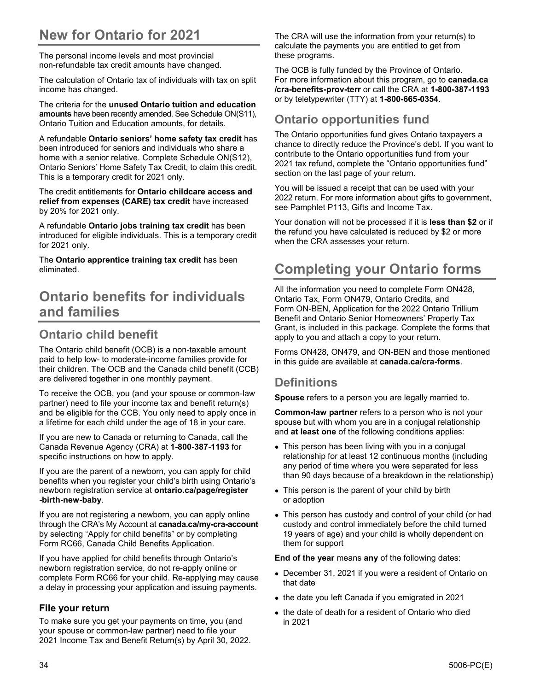# **New for Ontario for 2021**

The personal income levels and most provincial non-refundable tax credit amounts have changed.

The calculation of Ontario tax of individuals with tax on split income has changed.

The criteria for the **unused Ontario tuition and education amounts** have been recently amended. See Schedule ON(S11), Ontario Tuition and Education amounts, for details.

A refundable **Ontario seniors' home safety tax credit** has been introduced for seniors and individuals who share a home with a senior relative. Complete Schedule ON(S12), Ontario Seniors' Home Safety Tax Credit, to claim this credit. This is a temporary credit for 2021 only.

The credit entitlements for **Ontario childcare access and relief from expenses (CARE) tax credit** have increased by 20% for 2021 only.

A refundable **Ontario jobs training tax credit** has been introduced for eligible individuals. This is a temporary credit for 2021 only.

The **Ontario apprentice training tax credit** has been eliminated.

# **Ontario benefits for individuals and families**

# **Ontario child benefit**

The Ontario child benefit (OCB) is a non-taxable amount paid to help low- to moderate-income families provide for their children. The OCB and the Canada child benefit (CCB) are delivered together in one monthly payment.

To receive the OCB, you (and your spouse or common-law partner) need to file your income tax and benefit return(s) and be eligible for the CCB. You only need to apply once in a lifetime for each child under the age of 18 in your care.

If you are new to Canada or returning to Canada, call the Canada Revenue Agency (CRA) at **1-800-387-1193** for specific instructions on how to apply.

If you are the parent of a newborn, you can apply for child benefits when you register your child's birth using Ontario's newborn registration service at **ontario.ca/page/register -birth-new-baby**.

If you are not registering a newborn, you can apply online through the CRA's My Account at **canada.ca/my-cra-account** by selecting "Apply for child benefits" or by completing Form RC66, Canada Child Benefits Application.

If you have applied for child benefits through Ontario's newborn registration service, do not re-apply online or complete Form RC66 for your child. Re-applying may cause a delay in processing your application and issuing payments.

#### **File your return**

To make sure you get your payments on time, you (and your spouse or common-law partner) need to file your 2021 Income Tax and Benefit Return(s) by April 30, 2022. The CRA will use the information from your return(s) to calculate the payments you are entitled to get from these programs.

The OCB is fully funded by the Province of Ontario. For more information about this program, go to **canada.ca /cra-benefits-prov-terr** or call the CRA at **1-800-387-1193**  or by teletypewriter (TTY) at **1-800-665-0354**.

## **Ontario opportunities fund**

The Ontario opportunities fund gives Ontario taxpayers a chance to directly reduce the Province's debt. If you want to contribute to the Ontario opportunities fund from your 2021 tax refund, complete the "Ontario opportunities fund" section on the last page of your return.

You will be issued a receipt that can be used with your 2022 return. For more information about gifts to government, see Pamphlet P113, Gifts and Income Tax.

Your donation will not be processed if it is **less than \$2** or if the refund you have calculated is reduced by \$2 or more when the CRA assesses your return.

# **Completing your Ontario forms**

All the information you need to complete Form ON428, Ontario Tax, Form ON479, Ontario Credits, and Form ON-BEN, Application for the 2022 Ontario Trillium Benefit and Ontario Senior Homeowners' Property Tax Grant, is included in this package. Complete the forms that apply to you and attach a copy to your return.

Forms ON428, ON479, and ON-BEN and those mentioned in this guide are available at **canada.ca/cra-forms**.

### **Definitions**

**Spouse** refers to a person you are legally married to.

**Common-law partner** refers to a person who is not your spouse but with whom you are in a conjugal relationship and **at least one** of the following conditions applies:

- This person has been living with you in a conjugal relationship for at least 12 continuous months (including any period of time where you were separated for less than 90 days because of a breakdown in the relationship)
- This person is the parent of your child by birth or adoption
- This person has custody and control of your child (or had custody and control immediately before the child turned 19 years of age) and your child is wholly dependent on them for support

**End of the year** means **any** of the following dates:

- December 31, 2021 if you were a resident of Ontario on that date
- the date you left Canada if you emigrated in 2021
- the date of death for a resident of Ontario who died in 2021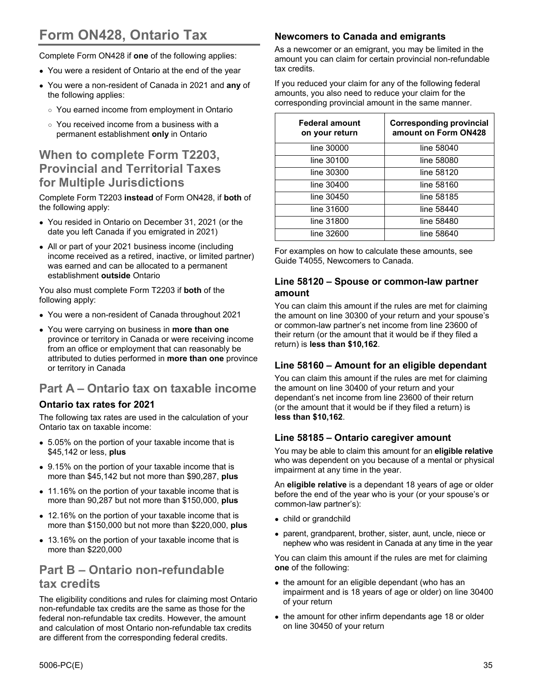# **Form ON428, Ontario Tax**

Complete Form ON428 if **one** of the following applies:

- You were a resident of Ontario at the end of the year
- You were a non-resident of Canada in 2021 and **any** of the following applies:
	- You earned income from employment in Ontario
	- You received income from a business with a permanent establishment **only** in Ontario

## **When to complete Form T2203, Provincial and Territorial Taxes for Multiple Jurisdictions**

Complete Form T2203 **instead** of Form ON428, if **both** of the following apply:

- You resided in Ontario on December 31, 2021 (or the date you left Canada if you emigrated in 2021)
- All or part of your 2021 business income (including income received as a retired, inactive, or limited partner) was earned and can be allocated to a permanent establishment **outside** Ontario

You also must complete Form T2203 if **both** of the following apply:

- You were a non-resident of Canada throughout 2021
- You were carrying on business in **more than one** province or territory in Canada or were receiving income from an office or employment that can reasonably be attributed to duties performed in **more than one** province or territory in Canada

# **Part A – Ontario tax on taxable income**

#### **Ontario tax rates for 2021**

The following tax rates are used in the calculation of your Ontario tax on taxable income:

- 5.05% on the portion of your taxable income that is \$45,142 or less, **plus**
- 9.15% on the portion of your taxable income that is more than \$45,142 but not more than \$90,287, **plus**
- 11.16% on the portion of your taxable income that is more than 90,287 but not more than \$150,000, **plus**
- 12.16% on the portion of your taxable income that is more than \$150,000 but not more than \$220,000, **plus**
- 13.16% on the portion of your taxable income that is more than \$220,000

# **Part B – Ontario non-refundable tax credits**

The eligibility conditions and rules for claiming most Ontario non-refundable tax credits are the same as those for the federal non-refundable tax credits. However, the amount and calculation of most Ontario non-refundable tax credits are different from the corresponding federal credits.

#### **Newcomers to Canada and emigrants**

As a newcomer or an emigrant, you may be limited in the amount you can claim for certain provincial non-refundable tax credits.

If you reduced your claim for any of the following federal amounts, you also need to reduce your claim for the corresponding provincial amount in the same manner.

| <b>Federal amount</b><br>on your return | <b>Corresponding provincial</b><br>amount on Form ON428 |
|-----------------------------------------|---------------------------------------------------------|
| line 30000                              | line 58040                                              |
| line 30100                              | line 58080                                              |
| line 30300                              | line 58120                                              |
| line 30400                              | line 58160                                              |
| line 30450                              | line 58185                                              |
| line 31600                              | line 58440                                              |
| line 31800                              | line 58480                                              |
| line 32600                              | line 58640                                              |

For examples on how to calculate these amounts, see Guide T4055, Newcomers to Canada.

#### **Line 58120 – Spouse or common-law partner amount**

You can claim this amount if the rules are met for claiming the amount on line 30300 of your return and your spouse's or common-law partner's net income from line 23600 of their return (or the amount that it would be if they filed a return) is **less than \$10,162**.

#### **Line 58160 – Amount for an eligible dependant**

You can claim this amount if the rules are met for claiming the amount on line 30400 of your return and your dependant's net income from line 23600 of their return (or the amount that it would be if they filed a return) is **less than \$10,162**.

#### **Line 58185 – Ontario caregiver amount**

You may be able to claim this amount for an **eligible relative** who was dependent on you because of a mental or physical impairment at any time in the year.

An **eligible relative** is a dependant 18 years of age or older before the end of the year who is your (or your spouse's or common-law partner's):

- child or grandchild
- parent, grandparent, brother, sister, aunt, uncle, niece or nephew who was resident in Canada at any time in the year

You can claim this amount if the rules are met for claiming **one** of the following:

- the amount for an eligible dependant (who has an impairment and is 18 years of age or older) on line 30400 of your return
- the amount for other infirm dependants age 18 or older on line 30450 of your return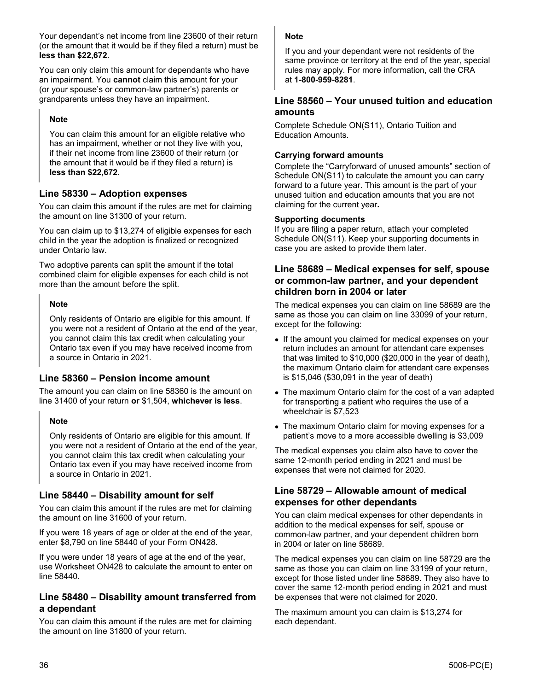Your dependant's net income from line 23600 of their return (or the amount that it would be if they filed a return) must be **less than \$22,672**.

You can only claim this amount for dependants who have an impairment. You **cannot** claim this amount for your (or your spouse's or common-law partner's) parents or grandparents unless they have an impairment.

#### **Note**

You can claim this amount for an eligible relative who has an impairment, whether or not they live with you, if their net income from line 23600 of their return (or the amount that it would be if they filed a return) is **less than \$22,672**.

#### **Line 58330 – Adoption expenses**

You can claim this amount if the rules are met for claiming the amount on line 31300 of your return.

You can claim up to \$13,274 of eligible expenses for each child in the year the adoption is finalized or recognized under Ontario law.

Two adoptive parents can split the amount if the total combined claim for eligible expenses for each child is not more than the amount before the split.

#### **Note**

Only residents of Ontario are eligible for this amount. If you were not a resident of Ontario at the end of the year, you cannot claim this tax credit when calculating your Ontario tax even if you may have received income from a source in Ontario in 2021.

#### **Line 58360 – Pension income amount**

The amount you can claim on line 58360 is the amount on line 31400 of your return **or** \$1,504, **whichever is less**.

#### **Note**

Only residents of Ontario are eligible for this amount. If you were not a resident of Ontario at the end of the year, you cannot claim this tax credit when calculating your Ontario tax even if you may have received income from a source in Ontario in 2021.

#### **Line 58440 – Disability amount for self**

You can claim this amount if the rules are met for claiming the amount on line 31600 of your return.

If you were 18 years of age or older at the end of the year, enter \$8,790 on line 58440 of your Form ON428.

If you were under 18 years of age at the end of the year, use Worksheet ON428 to calculate the amount to enter on line 58440.

#### **Line 58480 – Disability amount transferred from a dependant**

You can claim this amount if the rules are met for claiming the amount on line 31800 of your return.

#### **Note**

If you and your dependant were not residents of the same province or territory at the end of the year, special rules may apply. For more information, call the CRA at **1-800-959-8281**.

#### **Line 58560 – Your unused tuition and education amounts**

Complete Schedule ON(S11), Ontario Tuition and Education Amounts.

#### **Carrying forward amounts**

Complete the "Carryforward of unused amounts" section of Schedule ON(S11) to calculate the amount you can carry forward to a future year. This amount is the part of your unused tuition and education amounts that you are not claiming for the current year**.** 

#### **Supporting documents**

If you are filing a paper return, attach your completed Schedule ON(S11). Keep your supporting documents in case you are asked to provide them later.

#### **Line 58689 – Medical expenses for self, spouse or common-law partner, and your dependent children born in 2004 or later**

The medical expenses you can claim on line 58689 are the same as those you can claim on line 33099 of your return, except for the following:

- If the amount you claimed for medical expenses on your return includes an amount for attendant care expenses that was limited to \$10,000 (\$20,000 in the year of death), the maximum Ontario claim for attendant care expenses is \$15,046 (\$30,091 in the year of death)
- The maximum Ontario claim for the cost of a van adapted for transporting a patient who requires the use of a wheelchair is \$7,523
- The maximum Ontario claim for moving expenses for a patient's move to a more accessible dwelling is \$3,009

The medical expenses you claim also have to cover the same 12-month period ending in 2021 and must be expenses that were not claimed for 2020.

#### **Line 58729 – Allowable amount of medical expenses for other dependants**

You can claim medical expenses for other dependants in addition to the medical expenses for self, spouse or common-law partner, and your dependent children born in 2004 or later on line 58689.

The medical expenses you can claim on line 58729 are the same as those you can claim on line 33199 of your return, except for those listed under line 58689. They also have to cover the same 12-month period ending in 2021 and must be expenses that were not claimed for 2020.

The maximum amount you can claim is \$13,274 for each dependant.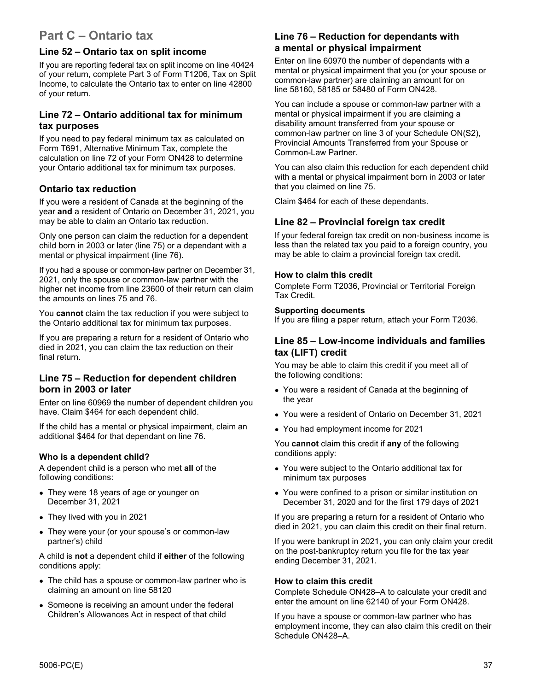## **Part C – Ontario tax**

#### **Line 52 – Ontario tax on split income**

If you are reporting federal tax on split income on line 40424 of your return, complete Part 3 of Form T1206, Tax on Split Income, to calculate the Ontario tax to enter on line 42800 of your return.

#### **Line 72 – Ontario additional tax for minimum tax purposes**

If you need to pay federal minimum tax as calculated on Form T691, Alternative Minimum Tax, complete the calculation on line 72 of your Form ON428 to determine your Ontario additional tax for minimum tax purposes.

#### **Ontario tax reduction**

If you were a resident of Canada at the beginning of the year **and** a resident of Ontario on December 31, 2021, you may be able to claim an Ontario tax reduction.

Only one person can claim the reduction for a dependent child born in 2003 or later (line 75) or a dependant with a mental or physical impairment (line 76).

If you had a spouse or common-law partner on December 31, 2021, only the spouse or common-law partner with the higher net income from line 23600 of their return can claim the amounts on lines 75 and 76.

You **cannot** claim the tax reduction if you were subject to the Ontario additional tax for minimum tax purposes.

If you are preparing a return for a resident of Ontario who died in 2021, you can claim the tax reduction on their final return.

#### **Line 75 – Reduction for dependent children born in 2003 or later**

Enter on line 60969 the number of dependent children you have. Claim \$464 for each dependent child.

If the child has a mental or physical impairment, claim an additional \$464 for that dependant on line 76.

#### **Who is a dependent child?**

A dependent child is a person who met **all** of the following conditions:

- They were 18 years of age or younger on December 31, 2021
- They lived with you in 2021
- They were your (or your spouse's or common-law partner's) child

A child is **not** a dependent child if **either** of the following conditions apply:

- The child has a spouse or common-law partner who is claiming an amount on line 58120
- Someone is receiving an amount under the federal Children's Allowances Act in respect of that child

#### **Line 76 – Reduction for dependants with a mental or physical impairment**

Enter on line 60970 the number of dependants with a mental or physical impairment that you (or your spouse or common-law partner) are claiming an amount for on line 58160, 58185 or 58480 of Form ON428.

You can include a spouse or common-law partner with a mental or physical impairment if you are claiming a disability amount transferred from your spouse or common-law partner on line 3 of your Schedule ON(S2), Provincial Amounts Transferred from your Spouse or Common-Law Partner.

You can also claim this reduction for each dependent child with a mental or physical impairment born in 2003 or later that you claimed on line 75.

Claim \$464 for each of these dependants.

#### **Line 82 – Provincial foreign tax credit**

If your federal foreign tax credit on non-business income is less than the related tax you paid to a foreign country, you may be able to claim a provincial foreign tax credit.

#### **How to claim this credit**

Complete Form T2036, Provincial or Territorial Foreign Tax Credit.

#### **Supporting documents**

If you are filing a paper return, attach your Form T2036.

#### **Line 85 – Low-income individuals and families tax (LIFT) credit**

You may be able to claim this credit if you meet all of the following conditions:

- You were a resident of Canada at the beginning of the year
- You were a resident of Ontario on December 31, 2021
- You had employment income for 2021

You **cannot** claim this credit if **any** of the following conditions apply:

- You were subject to the Ontario additional tax for minimum tax purposes
- You were confined to a prison or similar institution on December 31, 2020 and for the first 179 days of 2021

If you are preparing a return for a resident of Ontario who died in 2021, you can claim this credit on their final return.

If you were bankrupt in 2021, you can only claim your credit on the post-bankruptcy return you file for the tax year ending December 31, 2021.

#### **How to claim this credit**

Complete Schedule ON428–A to calculate your credit and enter the amount on line 62140 of your Form ON428.

If you have a spouse or common-law partner who has employment income, they can also claim this credit on their Schedule ON428–A.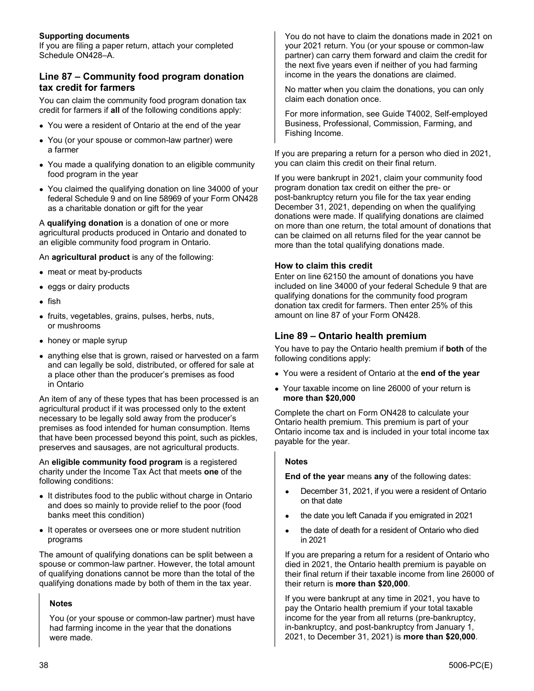#### **Supporting documents**

If you are filing a paper return, attach your completed Schedule ON428–A.

#### **Line 87 – Community food program donation tax credit for farmers**

You can claim the community food program donation tax credit for farmers if **all** of the following conditions apply:

- You were a resident of Ontario at the end of the year
- You (or your spouse or common-law partner) were a farmer
- You made a qualifying donation to an eligible community food program in the year
- You claimed the qualifying donation on line 34000 of your federal Schedule 9 and on line 58969 of your Form ON428 as a charitable donation or gift for the year

A **qualifying donation** is a donation of one or more agricultural products produced in Ontario and donated to an eligible community food program in Ontario.

An **agricultural product** is any of the following:

- meat or meat by-products
- eggs or dairy products
- fish
- fruits, vegetables, grains, pulses, herbs, nuts, or mushrooms
- honey or maple syrup
- anything else that is grown, raised or harvested on a farm and can legally be sold, distributed, or offered for sale at a place other than the producer's premises as food in Ontario

An item of any of these types that has been processed is an agricultural product if it was processed only to the extent necessary to be legally sold away from the producer's premises as food intended for human consumption. Items that have been processed beyond this point, such as pickles, preserves and sausages, are not agricultural products.

An **eligible community food program** is a registered charity under the Income Tax Act that meets **one** of the following conditions:

- It distributes food to the public without charge in Ontario and does so mainly to provide relief to the poor (food banks meet this condition)
- It operates or oversees one or more student nutrition programs

The amount of qualifying donations can be split between a spouse or common-law partner. However, the total amount of qualifying donations cannot be more than the total of the qualifying donations made by both of them in the tax year.

#### **Notes**

You (or your spouse or common-law partner) must have had farming income in the year that the donations were made.

You do not have to claim the donations made in 2021 on your 2021 return. You (or your spouse or common-law partner) can carry them forward and claim the credit for the next five years even if neither of you had farming income in the years the donations are claimed.

No matter when you claim the donations, you can only claim each donation once.

For more information, see Guide T4002, Self-employed Business, Professional, Commission, Farming, and Fishing Income.

If you are preparing a return for a person who died in 2021, you can claim this credit on their final return.

If you were bankrupt in 2021, claim your community food program donation tax credit on either the pre- or post-bankruptcy return you file for the tax year ending December 31, 2021, depending on when the qualifying donations were made. If qualifying donations are claimed on more than one return, the total amount of donations that can be claimed on all returns filed for the year cannot be more than the total qualifying donations made.

#### **How to claim this credit**

Enter on line 62150 the amount of donations you have included on line 34000 of your federal Schedule 9 that are qualifying donations for the community food program donation tax credit for farmers. Then enter 25% of this amount on line 87 of your Form ON428.

#### **Line 89 – Ontario health premium**

You have to pay the Ontario health premium if **both** of the following conditions apply:

- You were a resident of Ontario at the **end of the year**
- Your taxable income on line 26000 of your return is **more than \$20,000**

Complete the chart on Form ON428 to calculate your Ontario health premium. This premium is part of your Ontario income tax and is included in your total income tax payable for the year.

#### **Notes**

**End of the year** means **any** of the following dates:

- December 31, 2021, if you were a resident of Ontario on that date
- the date you left Canada if you emigrated in 2021
- the date of death for a resident of Ontario who died in 2021

If you are preparing a return for a resident of Ontario who died in 2021, the Ontario health premium is payable on their final return if their taxable income from line 26000 of their return is **more than \$20,000**.

If you were bankrupt at any time in 2021, you have to pay the Ontario health premium if your total taxable income for the year from all returns (pre-bankruptcy, in-bankruptcy, and post-bankruptcy from January 1, 2021, to December 31, 2021) is **more than \$20,000**.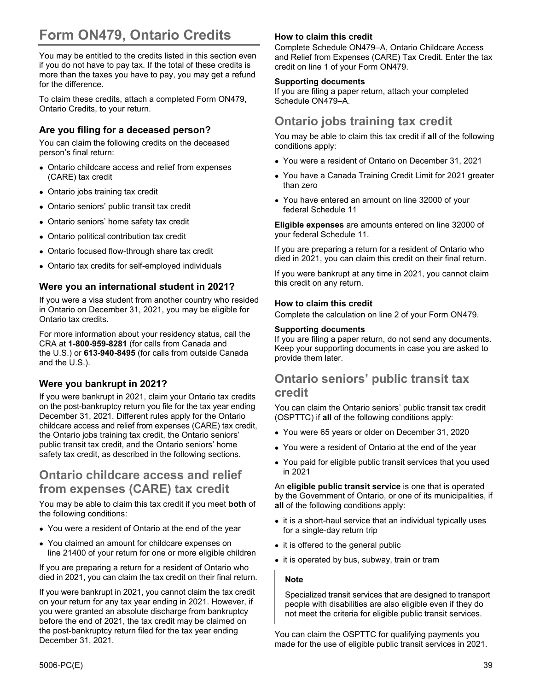# **Form ON479, Ontario Credits**

You may be entitled to the credits listed in this section even if you do not have to pay tax. If the total of these credits is more than the taxes you have to pay, you may get a refund for the difference.

To claim these credits, attach a completed Form ON479, Ontario Credits, to your return.

#### **Are you filing for a deceased person?**

You can claim the following credits on the deceased person's final return:

- Ontario childcare access and relief from expenses (CARE) tax credit
- Ontario jobs training tax credit
- Ontario seniors' public transit tax credit
- Ontario seniors' home safety tax credit
- Ontario political contribution tax credit
- Ontario focused flow-through share tax credit
- Ontario tax credits for self-employed individuals

#### **Were you an international student in 2021?**

If you were a visa student from another country who resided in Ontario on December 31, 2021, you may be eligible for Ontario tax credits.

For more information about your residency status, call the CRA at **1-800-959-8281** (for calls from Canada and the U.S.) or **613-940-8495** (for calls from outside Canada and the U.S.).

#### **Were you bankrupt in 2021?**

If you were bankrupt in 2021, claim your Ontario tax credits on the post-bankruptcy return you file for the tax year ending December 31, 2021. Different rules apply for the Ontario childcare access and relief from expenses (CARE) tax credit, the Ontario jobs training tax credit, the Ontario seniors' public transit tax credit, and the Ontario seniors' home safety tax credit, as described in the following sections.

### **Ontario childcare access and relief from expenses (CARE) tax credit**

You may be able to claim this tax credit if you meet **both** of the following conditions:

- You were a resident of Ontario at the end of the year
- You claimed an amount for childcare expenses on line 21400 of your return for one or more eligible children

If you are preparing a return for a resident of Ontario who died in 2021, you can claim the tax credit on their final return.

If you were bankrupt in 2021, you cannot claim the tax credit on your return for any tax year ending in 2021. However, if you were granted an absolute discharge from bankruptcy before the end of 2021, the tax credit may be claimed on the post-bankruptcy return filed for the tax year ending December 31, 2021.

#### **How to claim this credit**

Complete Schedule ON479–A, Ontario Childcare Access and Relief from Expenses (CARE) Tax Credit. Enter the tax credit on line 1 of your Form ON479.

#### **Supporting documents**

If you are filing a paper return, attach your completed Schedule ON479–A.

## **Ontario jobs training tax credit**

You may be able to claim this tax credit if **all** of the following conditions apply:

- You were a resident of Ontario on December 31, 2021
- You have a Canada Training Credit Limit for 2021 greater than zero
- You have entered an amount on line 32000 of your federal Schedule 11

**Eligible expenses** are amounts entered on line 32000 of your federal Schedule 11.

If you are preparing a return for a resident of Ontario who died in 2021, you can claim this credit on their final return.

If you were bankrupt at any time in 2021, you cannot claim this credit on any return.

#### **How to claim this credit**

Complete the calculation on line 2 of your Form ON479.

#### **Supporting documents**

If you are filing a paper return, do not send any documents. Keep your supporting documents in case you are asked to provide them later.

### **Ontario seniors' public transit tax credit**

You can claim the Ontario seniors' public transit tax credit (OSPTTC) if **all** of the following conditions apply:

- You were 65 years or older on December 31, 2020
- You were a resident of Ontario at the end of the year
- You paid for eligible public transit services that you used in 2021

An **eligible public transit service** is one that is operated by the Government of Ontario, or one of its municipalities, if **all** of the following conditions apply:

- it is a short-haul service that an individual typically uses for a single-day return trip
- it is offered to the general public
- it is operated by bus, subway, train or tram

#### **Note**

Specialized transit services that are designed to transport people with disabilities are also eligible even if they do not meet the criteria for eligible public transit services.

You can claim the OSPTTC for qualifying payments you made for the use of eligible public transit services in 2021.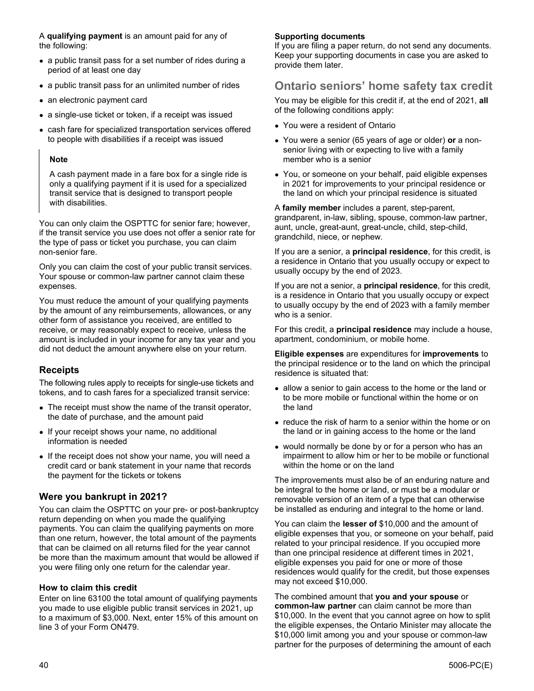A **qualifying payment** is an amount paid for any of the following:

- a public transit pass for a set number of rides during a period of at least one day
- a public transit pass for an unlimited number of rides
- an electronic payment card
- a single-use ticket or token, if a receipt was issued
- cash fare for specialized transportation services offered to people with disabilities if a receipt was issued

#### **Note**

A cash payment made in a fare box for a single ride is only a qualifying payment if it is used for a specialized transit service that is designed to transport people with disabilities.

You can only claim the OSPTTC for senior fare; however, if the transit service you use does not offer a senior rate for the type of pass or ticket you purchase, you can claim non-senior fare.

Only you can claim the cost of your public transit services. Your spouse or common-law partner cannot claim these expenses.

You must reduce the amount of your qualifying payments by the amount of any reimbursements, allowances, or any other form of assistance you received, are entitled to receive, or may reasonably expect to receive, unless the amount is included in your income for any tax year and you did not deduct the amount anywhere else on your return.

#### **Receipts**

The following rules apply to receipts for single-use tickets and tokens, and to cash fares for a specialized transit service:

- The receipt must show the name of the transit operator, the date of purchase, and the amount paid
- If your receipt shows your name, no additional information is needed
- If the receipt does not show your name, you will need a credit card or bank statement in your name that records the payment for the tickets or tokens

#### **Were you bankrupt in 2021?**

You can claim the OSPTTC on your pre- or post-bankruptcy return depending on when you made the qualifying payments. You can claim the qualifying payments on more than one return, however, the total amount of the payments that can be claimed on all returns filed for the year cannot be more than the maximum amount that would be allowed if you were filing only one return for the calendar year.

#### **How to claim this credit**

Enter on line 63100 the total amount of qualifying payments you made to use eligible public transit services in 2021, up to a maximum of \$3,000. Next, enter 15% of this amount on line 3 of your Form ON479.

#### **Supporting documents**

If you are filing a paper return, do not send any documents. Keep your supporting documents in case you are asked to provide them later.

# **Ontario seniors' home safety tax credit**

You may be eligible for this credit if, at the end of 2021, **all** of the following conditions apply:

- You were a resident of Ontario
- You were a senior (65 years of age or older) **or** a nonsenior living with or expecting to live with a family member who is a senior
- You, or someone on your behalf, paid eligible expenses in 2021 for improvements to your principal residence or the land on which your principal residence is situated

#### A **family member** includes a parent, step-parent,

grandparent, in-law, sibling, spouse, common-law partner, aunt, uncle, great-aunt, great-uncle, child, step-child, grandchild, niece, or nephew.

If you are a senior, a **principal residence**, for this credit, is a residence in Ontario that you usually occupy or expect to usually occupy by the end of 2023.

If you are not a senior, a **principal residence**, for this credit, is a residence in Ontario that you usually occupy or expect to usually occupy by the end of 2023 with a family member who is a senior.

For this credit, a **principal residence** may include a house, apartment, condominium, or mobile home.

**Eligible expenses** are expenditures for **improvements** to the principal residence or to the land on which the principal residence is situated that:

- allow a senior to gain access to the home or the land or to be more mobile or functional within the home or on the land
- reduce the risk of harm to a senior within the home or on the land or in gaining access to the home or the land
- would normally be done by or for a person who has an impairment to allow him or her to be mobile or functional within the home or on the land

The improvements must also be of an enduring nature and be integral to the home or land, or must be a modular or removable version of an item of a type that can otherwise be installed as enduring and integral to the home or land.

You can claim the **lesser of** \$10,000 and the amount of eligible expenses that you, or someone on your behalf, paid related to your principal residence. If you occupied more than one principal residence at different times in 2021, eligible expenses you paid for one or more of those residences would qualify for the credit, but those expenses may not exceed \$10,000.

The combined amount that **you and your spouse** or **common-law partner** can claim cannot be more than \$10,000. In the event that you cannot agree on how to split the eligible expenses, the Ontario Minister may allocate the \$10,000 limit among you and your spouse or common-law partner for the purposes of determining the amount of each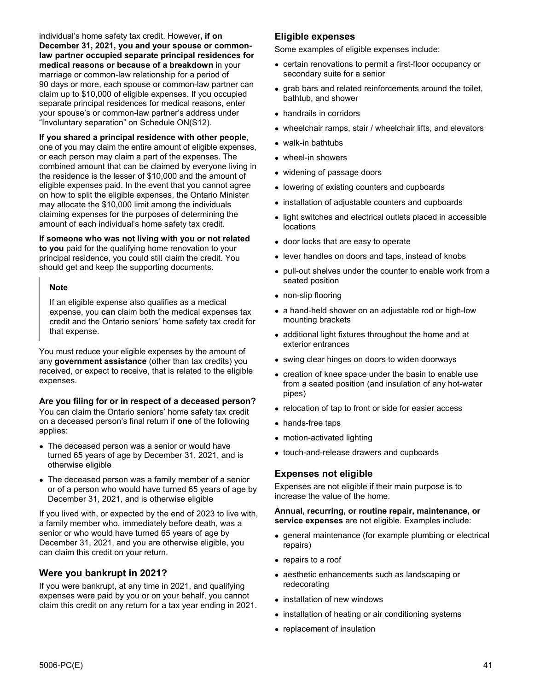individual's home safety tax credit. However**, if on December 31, 2021, you and your spouse or commonlaw partner occupied separate principal residences for medical reasons or because of a breakdown** in your marriage or common-law relationship for a period of 90 days or more, each spouse or common-law partner can claim up to \$10,000 of eligible expenses. If you occupied separate principal residences for medical reasons, enter your spouse's or common-law partner's address under "Involuntary separation" on Schedule ON(S12).

#### **If you shared a principal residence with other people**,

one of you may claim the entire amount of eligible expenses, or each person may claim a part of the expenses. The combined amount that can be claimed by everyone living in the residence is the lesser of \$10,000 and the amount of eligible expenses paid. In the event that you cannot agree on how to split the eligible expenses, the Ontario Minister may allocate the \$10,000 limit among the individuals claiming expenses for the purposes of determining the amount of each individual's home safety tax credit.

#### **If someone who was not living with you or not related**

**to you** paid for the qualifying home renovation to your principal residence, you could still claim the credit. You should get and keep the supporting documents.

#### **Note**

If an eligible expense also qualifies as a medical expense, you **can** claim both the medical expenses tax credit and the Ontario seniors' home safety tax credit for that expense.

You must reduce your eligible expenses by the amount of any **government assistance** (other than tax credits) you received, or expect to receive, that is related to the eligible expenses.

#### **Are you filing for or in respect of a deceased person?**

You can claim the Ontario seniors' home safety tax credit on a deceased person's final return if **one** of the following applies:

- The deceased person was a senior or would have turned 65 years of age by December 31, 2021, and is otherwise eligible
- The deceased person was a family member of a senior or of a person who would have turned 65 years of age by December 31, 2021, and is otherwise eligible

If you lived with, or expected by the end of 2023 to live with, a family member who, immediately before death, was a senior or who would have turned 65 years of age by December 31, 2021, and you are otherwise eligible, you can claim this credit on your return.

#### **Were you bankrupt in 2021?**

If you were bankrupt, at any time in 2021, and qualifying expenses were paid by you or on your behalf, you cannot claim this credit on any return for a tax year ending in 2021.

#### **Eligible expenses**

Some examples of eligible expenses include:

- certain renovations to permit a first-floor occupancy or secondary suite for a senior
- grab bars and related reinforcements around the toilet, bathtub, and shower
- handrails in corridors
- wheelchair ramps, stair / wheelchair lifts, and elevators
- walk-in bathtubs
- wheel-in showers
- widening of passage doors
- lowering of existing counters and cupboards
- installation of adjustable counters and cupboards
- light switches and electrical outlets placed in accessible locations
- door locks that are easy to operate
- lever handles on doors and taps, instead of knobs
- pull-out shelves under the counter to enable work from a seated position
- non-slip flooring
- a hand-held shower on an adjustable rod or high-low mounting brackets
- additional light fixtures throughout the home and at exterior entrances
- swing clear hinges on doors to widen doorways
- creation of knee space under the basin to enable use from a seated position (and insulation of any hot-water pipes)
- relocation of tap to front or side for easier access
- hands-free taps
- motion-activated lighting
- touch-and-release drawers and cupboards

#### **Expenses not eligible**

Expenses are not eligible if their main purpose is to increase the value of the home.

#### **Annual, recurring, or routine repair, maintenance, or service expenses** are not eligible. Examples include:

- general maintenance (for example plumbing or electrical repairs)
- repairs to a roof
- aesthetic enhancements such as landscaping or redecorating
- installation of new windows
- installation of heating or air conditioning systems
- replacement of insulation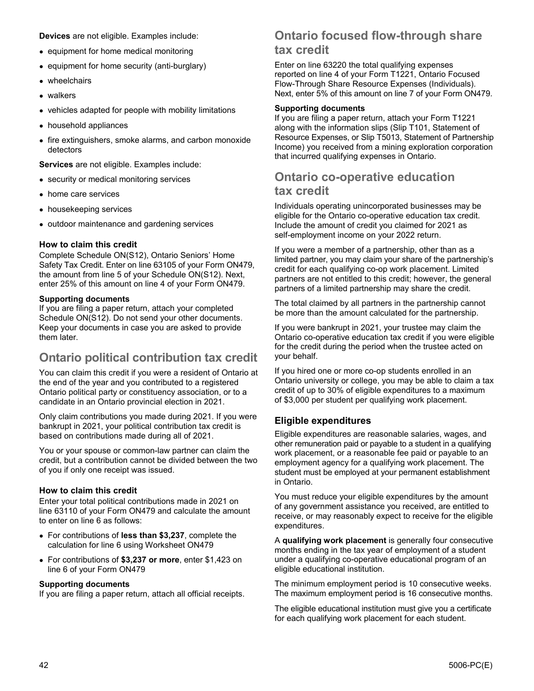**Devices** are not eligible. Examples include:

- equipment for home medical monitoring
- equipment for home security (anti-burglary)
- wheelchairs
- walkers
- vehicles adapted for people with mobility limitations
- household appliances
- fire extinguishers, smoke alarms, and carbon monoxide detectors

**Services** are not eligible. Examples include:

- security or medical monitoring services
- home care services
- housekeeping services
- outdoor maintenance and gardening services

#### **How to claim this credit**

Complete Schedule ON(S12), Ontario Seniors' Home Safety Tax Credit. Enter on line 63105 of your Form ON479, the amount from line 5 of your Schedule ON(S12). Next, enter 25% of this amount on line 4 of your Form ON479.

#### **Supporting documents**

If you are filing a paper return, attach your completed Schedule ON(S12). Do not send your other documents. Keep your documents in case you are asked to provide them later.

## **Ontario political contribution tax credit**

You can claim this credit if you were a resident of Ontario at the end of the year and you contributed to a registered Ontario political party or constituency association, or to a candidate in an Ontario provincial election in 2021.

Only claim contributions you made during 2021. If you were bankrupt in 2021, your political contribution tax credit is based on contributions made during all of 2021.

You or your spouse or common-law partner can claim the credit, but a contribution cannot be divided between the two of you if only one receipt was issued.

#### **How to claim this credit**

Enter your total political contributions made in 2021 on line 63110 of your Form ON479 and calculate the amount to enter on line 6 as follows:

- For contributions of **less than \$3,237**, complete the calculation for line 6 using Worksheet ON479
- For contributions of **\$3,237 or more**, enter \$1,423 on line 6 of your Form ON479

#### **Supporting documents**

If you are filing a paper return, attach all official receipts.

### **Ontario focused flow-through share tax credit**

Enter on line 63220 the total qualifying expenses reported on line 4 of your Form T1221, Ontario Focused Flow-Through Share Resource Expenses (Individuals). Next, enter 5% of this amount on line 7 of your Form ON479.

#### **Supporting documents**

If you are filing a paper return, attach your Form T1221 along with the information slips (Slip T101, Statement of Resource Expenses, or Slip T5013, Statement of Partnership Income) you received from a mining exploration corporation that incurred qualifying expenses in Ontario.

### **Ontario co-operative education tax credit**

Individuals operating unincorporated businesses may be eligible for the Ontario co-operative education tax credit. Include the amount of credit you claimed for 2021 as self-employment income on your 2022 return.

If you were a member of a partnership, other than as a limited partner, you may claim your share of the partnership's credit for each qualifying co-op work placement. Limited partners are not entitled to this credit; however, the general partners of a limited partnership may share the credit.

The total claimed by all partners in the partnership cannot be more than the amount calculated for the partnership.

If you were bankrupt in 2021, your trustee may claim the Ontario co-operative education tax credit if you were eligible for the credit during the period when the trustee acted on your behalf.

If you hired one or more co-op students enrolled in an Ontario university or college, you may be able to claim a tax credit of up to 30% of eligible expenditures to a maximum of \$3,000 per student per qualifying work placement.

#### **Eligible expenditures**

Eligible expenditures are reasonable salaries, wages, and other remuneration paid or payable to a student in a qualifying work placement, or a reasonable fee paid or payable to an employment agency for a qualifying work placement. The student must be employed at your permanent establishment in Ontario.

You must reduce your eligible expenditures by the amount of any government assistance you received, are entitled to receive, or may reasonably expect to receive for the eligible expenditures.

A **qualifying work placement** is generally four consecutive months ending in the tax year of employment of a student under a qualifying co-operative educational program of an eligible educational institution.

The minimum employment period is 10 consecutive weeks. The maximum employment period is 16 consecutive months.

The eligible educational institution must give you a certificate for each qualifying work placement for each student.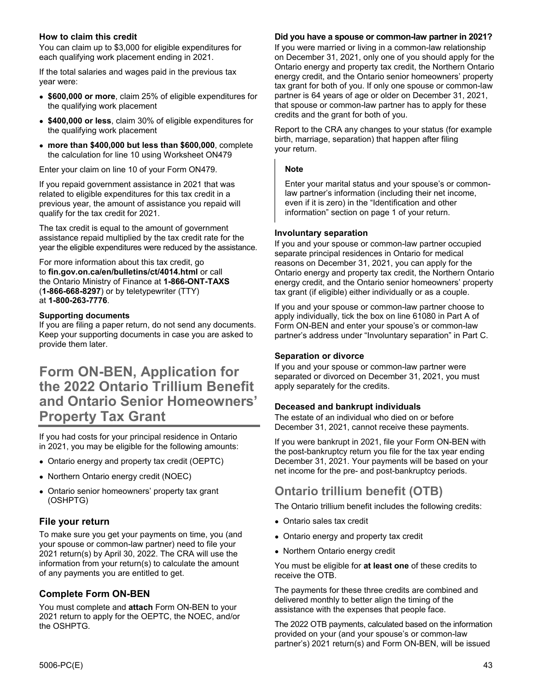#### **How to claim this credit**

You can claim up to \$3,000 for eligible expenditures for each qualifying work placement ending in 2021.

If the total salaries and wages paid in the previous tax year were:

- **\$600,000 or more**, claim 25% of eligible expenditures for the qualifying work placement
- **\$400,000 or less**, claim 30% of eligible expenditures for the qualifying work placement
- **more than \$400,000 but less than \$600,000**, complete the calculation for line 10 using Worksheet ON479

Enter your claim on line 10 of your Form ON479.

If you repaid government assistance in 2021 that was related to eligible expenditures for this tax credit in a previous year, the amount of assistance you repaid will qualify for the tax credit for 2021.

The tax credit is equal to the amount of government assistance repaid multiplied by the tax credit rate for the year the eligible expenditures were reduced by the assistance.

For more information about this tax credit, go to **fin.gov.on.ca/en/bulletins/ct/4014.html** or call the Ontario Ministry of Finance at **1-866-ONT-TAXS** (**1-866-668-8297**) or by teletypewriter (TTY) at **1-800-263-7776**.

#### **Supporting documents**

If you are filing a paper return, do not send any documents. Keep your supporting documents in case you are asked to provide them later.

# **Form ON-BEN, Application for the 2022 Ontario Trillium Benefit and Ontario Senior Homeowners' Property Tax Grant**

If you had costs for your principal residence in Ontario in 2021, you may be eligible for the following amounts:

- Ontario energy and property tax credit (OEPTC)
- Northern Ontario energy credit (NOEC)
- Ontario senior homeowners' property tax grant (OSHPTG)

#### **File your return**

To make sure you get your payments on time, you (and your spouse or common-law partner) need to file your 2021 return(s) by April 30, 2022. The CRA will use the information from your return(s) to calculate the amount of any payments you are entitled to get.

#### **Complete Form ON-BEN**

You must complete and **attach** Form ON-BEN to your 2021 return to apply for the OEPTC, the NOEC, and/or the OSHPTG.

#### **Did you have a spouse or common-law partner in 2021?**

If you were married or living in a common-law relationship on December 31, 2021, only one of you should apply for the Ontario energy and property tax credit, the Northern Ontario energy credit, and the Ontario senior homeowners' property tax grant for both of you. If only one spouse or common-law partner is 64 years of age or older on December 31, 2021, that spouse or common-law partner has to apply for these credits and the grant for both of you.

Report to the CRA any changes to your status (for example birth, marriage, separation) that happen after filing your return.

#### **Note**

Enter your marital status and your spouse's or commonlaw partner's information (including their net income, even if it is zero) in the "Identification and other information" section on page 1 of your return.

#### **Involuntary separation**

If you and your spouse or common-law partner occupied separate principal residences in Ontario for medical reasons on December 31, 2021, you can apply for the Ontario energy and property tax credit, the Northern Ontario energy credit, and the Ontario senior homeowners' property tax grant (if eligible) either individually or as a couple.

If you and your spouse or common-law partner choose to apply individually, tick the box on line 61080 in Part A of Form ON-BEN and enter your spouse's or common-law partner's address under "Involuntary separation" in Part C.

#### **Separation or divorce**

If you and your spouse or common-law partner were separated or divorced on December 31, 2021, you must apply separately for the credits.

#### **Deceased and bankrupt individuals**

The estate of an individual who died on or before December 31, 2021, cannot receive these payments.

If you were bankrupt in 2021, file your Form ON-BEN with the post-bankruptcy return you file for the tax year ending December 31, 2021. Your payments will be based on your net income for the pre- and post-bankruptcy periods.

### **Ontario trillium benefit (OTB)**

The Ontario trillium benefit includes the following credits:

- Ontario sales tax credit
- Ontario energy and property tax credit
- Northern Ontario energy credit

You must be eligible for **at least one** of these credits to receive the OTB.

The payments for these three credits are combined and delivered monthly to better align the timing of the assistance with the expenses that people face.

The 2022 OTB payments, calculated based on the information provided on your (and your spouse's or common-law partner's) 2021 return(s) and Form ON-BEN, will be issued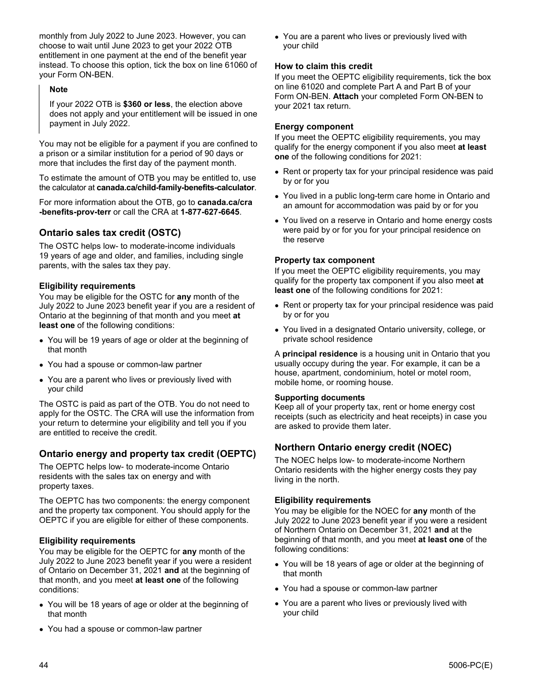monthly from July 2022 to June 2023. However, you can choose to wait until June 2023 to get your 2022 OTB entitlement in one payment at the end of the benefit year instead. To choose this option, tick the box on line 61060 of your Form ON-BEN.

#### **Note**

If your 2022 OTB is **\$360 or less**, the election above does not apply and your entitlement will be issued in one payment in July 2022.

You may not be eligible for a payment if you are confined to a prison or a similar institution for a period of 90 days or more that includes the first day of the payment month.

To estimate the amount of OTB you may be entitled to, use the calculator at **canada.ca/child-family-benefits-calculator**.

For more information about the OTB, go to **canada.ca/cra -benefits-prov-terr** or call the CRA at **1-877-627-6645**.

#### **Ontario sales tax credit (OSTC)**

The OSTC helps low- to moderate-income individuals 19 years of age and older, and families, including single parents, with the sales tax they pay.

#### **Eligibility requirements**

You may be eligible for the OSTC for **any** month of the July 2022 to June 2023 benefit year if you are a resident of Ontario at the beginning of that month and you meet **at least one** of the following conditions:

- You will be 19 years of age or older at the beginning of that month
- You had a spouse or common-law partner
- You are a parent who lives or previously lived with your child

The OSTC is paid as part of the OTB. You do not need to apply for the OSTC. The CRA will use the information from your return to determine your eligibility and tell you if you are entitled to receive the credit.

#### **Ontario energy and property tax credit (OEPTC)**

The OEPTC helps low- to moderate-income Ontario residents with the sales tax on energy and with property taxes.

The OEPTC has two components: the energy component and the property tax component. You should apply for the OEPTC if you are eligible for either of these components.

#### **Eligibility requirements**

You may be eligible for the OEPTC for **any** month of the July 2022 to June 2023 benefit year if you were a resident of Ontario on December 31, 2021 **and** at the beginning of that month, and you meet **at least one** of the following conditions:

- You will be 18 years of age or older at the beginning of that month
- You had a spouse or common-law partner

• You are a parent who lives or previously lived with your child

#### **How to claim this credit**

If you meet the OEPTC eligibility requirements, tick the box on line 61020 and complete Part A and Part B of your Form ON-BEN. **Attach** your completed Form ON-BEN to your 2021 tax return.

#### **Energy component**

If you meet the OEPTC eligibility requirements, you may qualify for the energy component if you also meet **at least one** of the following conditions for 2021:

- Rent or property tax for your principal residence was paid by or for you
- You lived in a public long-term care home in Ontario and an amount for accommodation was paid by or for you
- You lived on a reserve in Ontario and home energy costs were paid by or for you for your principal residence on the reserve

#### **Property tax component**

If you meet the OEPTC eligibility requirements, you may qualify for the property tax component if you also meet **at least one** of the following conditions for 2021:

- Rent or property tax for your principal residence was paid by or for you
- You lived in a designated Ontario university, college, or private school residence

A **principal residence** is a housing unit in Ontario that you usually occupy during the year. For example, it can be a house, apartment, condominium, hotel or motel room, mobile home, or rooming house.

#### **Supporting documents**

Keep all of your property tax, rent or home energy cost receipts (such as electricity and heat receipts) in case you are asked to provide them later.

#### **Northern Ontario energy credit (NOEC)**

The NOEC helps low- to moderate-income Northern Ontario residents with the higher energy costs they pay living in the north.

#### **Eligibility requirements**

You may be eligible for the NOEC for **any** month of the July 2022 to June 2023 benefit year if you were a resident of Northern Ontario on December 31, 2021 **and** at the beginning of that month, and you meet **at least one** of the following conditions:

- You will be 18 years of age or older at the beginning of that month
- You had a spouse or common-law partner
- You are a parent who lives or previously lived with your child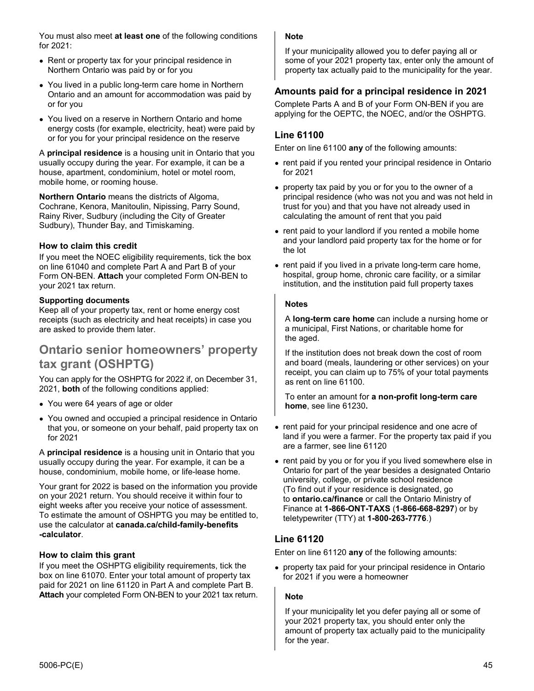You must also meet **at least one** of the following conditions for 2021:

- Rent or property tax for your principal residence in Northern Ontario was paid by or for you
- You lived in a public long-term care home in Northern Ontario and an amount for accommodation was paid by or for you
- You lived on a reserve in Northern Ontario and home energy costs (for example, electricity, heat) were paid by or for you for your principal residence on the reserve

A **principal residence** is a housing unit in Ontario that you usually occupy during the year. For example, it can be a house, apartment, condominium, hotel or motel room, mobile home, or rooming house.

**Northern Ontario** means the districts of Algoma, Cochrane, Kenora, Manitoulin, Nipissing, Parry Sound, Rainy River, Sudbury (including the City of Greater Sudbury), Thunder Bay, and Timiskaming.

#### **How to claim this credit**

If you meet the NOEC eligibility requirements, tick the box on line 61040 and complete Part A and Part B of your Form ON-BEN. **Attach** your completed Form ON-BEN to your 2021 tax return.

#### **Supporting documents**

Keep all of your property tax, rent or home energy cost receipts (such as electricity and heat receipts) in case you are asked to provide them later.

### **Ontario senior homeowners' property tax grant (OSHPTG)**

You can apply for the OSHPTG for 2022 if, on December 31, 2021, **both** of the following conditions applied:

- You were 64 years of age or older
- You owned and occupied a principal residence in Ontario that you, or someone on your behalf, paid property tax on for 2021

A **principal residence** is a housing unit in Ontario that you usually occupy during the year. For example, it can be a house, condominium, mobile home, or life-lease home.

Your grant for 2022 is based on the information you provide on your 2021 return. You should receive it within four to eight weeks after you receive your notice of assessment. To estimate the amount of OSHPTG you may be entitled to, use the calculator at **canada.ca/child-family-benefits -calculator**.

#### **How to claim this grant**

If you meet the OSHPTG eligibility requirements, tick the box on line 61070. Enter your total amount of property tax paid for 2021 on line 61120 in Part A and complete Part B. **Attach** your completed Form ON-BEN to your 2021 tax return.

#### **Note**

If your municipality allowed you to defer paying all or some of your 2021 property tax, enter only the amount of property tax actually paid to the municipality for the year.

#### **Amounts paid for a principal residence in 2021**

Complete Parts A and B of your Form ON-BEN if you are applying for the OEPTC, the NOEC, and/or the OSHPTG.

#### **Line 61100**

Enter on line 61100 **any** of the following amounts:

- rent paid if you rented your principal residence in Ontario for 2021
- property tax paid by you or for you to the owner of a principal residence (who was not you and was not held in trust for you) and that you have not already used in calculating the amount of rent that you paid
- rent paid to your landlord if you rented a mobile home and your landlord paid property tax for the home or for the lot
- rent paid if you lived in a private long-term care home, hospital, group home, chronic care facility, or a similar institution, and the institution paid full property taxes

#### **Notes**

A **long-term care home** can include a nursing home or a municipal, First Nations, or charitable home for the aged.

If the institution does not break down the cost of room and board (meals, laundering or other services) on your receipt, you can claim up to 75% of your total payments as rent on line 61100.

To enter an amount for **a non-profit long-term care home**, see line 61230**.** 

- rent paid for your principal residence and one acre of land if you were a farmer. For the property tax paid if you are a farmer, see line 61120
- rent paid by you or for you if you lived somewhere else in Ontario for part of the year besides a designated Ontario university, college, or private school residence (To find out if your residence is designated, go to **ontario.ca/finance** or call the Ontario Ministry of Finance at **1-866-ONT-TAXS** (**1-866-668-8297**) or by teletypewriter (TTY) at **1-800-263-7776**.)

#### **Line 61120**

Enter on line 61120 **any** of the following amounts:

• property tax paid for your principal residence in Ontario for 2021 if you were a homeowner

#### **Note**

If your municipality let you defer paying all or some of your 2021 property tax, you should enter only the amount of property tax actually paid to the municipality for the year.